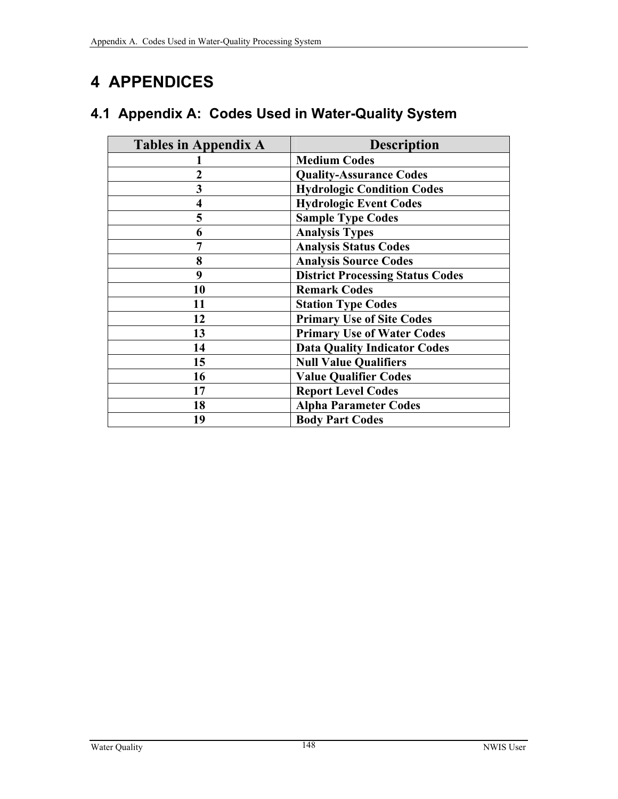# **4 APPENDICES**

|  | 4.1 Appendix A: Codes Used in Water-Quality System |  |  |  |  |  |
|--|----------------------------------------------------|--|--|--|--|--|
|--|----------------------------------------------------|--|--|--|--|--|

| <b>Tables in Appendix A</b> | <b>Description</b>                      |
|-----------------------------|-----------------------------------------|
|                             | <b>Medium Codes</b>                     |
| $\overline{2}$              | <b>Quality-Assurance Codes</b>          |
| 3                           | <b>Hydrologic Condition Codes</b>       |
| $\overline{\mathbf{4}}$     | <b>Hydrologic Event Codes</b>           |
| 5                           | <b>Sample Type Codes</b>                |
| 6                           | <b>Analysis Types</b>                   |
| 7                           | <b>Analysis Status Codes</b>            |
| 8                           | <b>Analysis Source Codes</b>            |
| 9                           | <b>District Processing Status Codes</b> |
| 10                          | <b>Remark Codes</b>                     |
| 11                          | <b>Station Type Codes</b>               |
| 12                          | <b>Primary Use of Site Codes</b>        |
| 13                          | <b>Primary Use of Water Codes</b>       |
| 14                          | <b>Data Quality Indicator Codes</b>     |
| 15                          | <b>Null Value Qualifiers</b>            |
| 16                          | <b>Value Qualifier Codes</b>            |
| 17                          | <b>Report Level Codes</b>               |
| 18                          | <b>Alpha Parameter Codes</b>            |
| 19                          | <b>Body Part Codes</b>                  |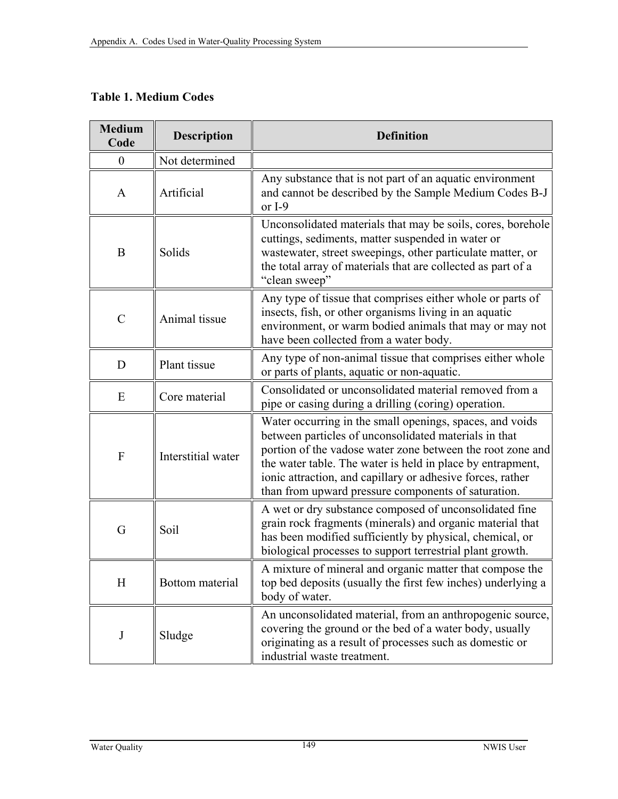## **Table 1. Medium Codes**

| <b>Medium</b><br>Code     | <b>Description</b> | <b>Definition</b>                                                                                                                                                                                                                                                                                                                                                  |
|---------------------------|--------------------|--------------------------------------------------------------------------------------------------------------------------------------------------------------------------------------------------------------------------------------------------------------------------------------------------------------------------------------------------------------------|
| $\boldsymbol{0}$          | Not determined     |                                                                                                                                                                                                                                                                                                                                                                    |
| A                         | Artificial         | Any substance that is not part of an aquatic environment<br>and cannot be described by the Sample Medium Codes B-J<br>or $I-9$                                                                                                                                                                                                                                     |
| $\bf{B}$                  | Solids             | Unconsolidated materials that may be soils, cores, borehole<br>cuttings, sediments, matter suspended in water or<br>wastewater, street sweepings, other particulate matter, or<br>the total array of materials that are collected as part of a<br>"clean sweep"                                                                                                    |
| $\mathcal{C}$             | Animal tissue      | Any type of tissue that comprises either whole or parts of<br>insects, fish, or other organisms living in an aquatic<br>environment, or warm bodied animals that may or may not<br>have been collected from a water body.                                                                                                                                          |
| D                         | Plant tissue       | Any type of non-animal tissue that comprises either whole<br>or parts of plants, aquatic or non-aquatic.                                                                                                                                                                                                                                                           |
| E                         | Core material      | Consolidated or unconsolidated material removed from a<br>pipe or casing during a drilling (coring) operation.                                                                                                                                                                                                                                                     |
| $\boldsymbol{\mathrm{F}}$ | Interstitial water | Water occurring in the small openings, spaces, and voids<br>between particles of unconsolidated materials in that<br>portion of the vadose water zone between the root zone and<br>the water table. The water is held in place by entrapment,<br>ionic attraction, and capillary or adhesive forces, rather<br>than from upward pressure components of saturation. |
| G                         | Soil               | A wet or dry substance composed of unconsolidated fine<br>grain rock fragments (minerals) and organic material that<br>has been modified sufficiently by physical, chemical, or<br>biological processes to support terrestrial plant growth.                                                                                                                       |
| H                         | Bottom material    | A mixture of mineral and organic matter that compose the<br>top bed deposits (usually the first few inches) underlying a<br>body of water.                                                                                                                                                                                                                         |
| $\bf J$                   | Sludge             | An unconsolidated material, from an anthropogenic source,<br>covering the ground or the bed of a water body, usually<br>originating as a result of processes such as domestic or<br>industrial waste treatment.                                                                                                                                                    |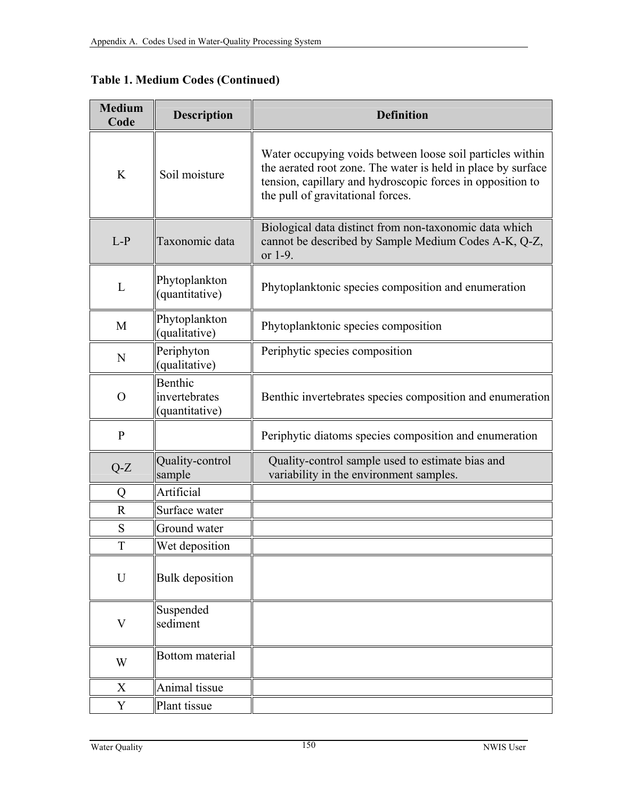|  |  |  | <b>Table 1. Medium Codes (Continued)</b> |
|--|--|--|------------------------------------------|
|--|--|--|------------------------------------------|

| <b>Medium</b><br>Code | <b>Description</b>                         | <b>Definition</b>                                                                                                                                                                                                            |
|-----------------------|--------------------------------------------|------------------------------------------------------------------------------------------------------------------------------------------------------------------------------------------------------------------------------|
| K                     | Soil moisture                              | Water occupying voids between loose soil particles within<br>the aerated root zone. The water is held in place by surface<br>tension, capillary and hydroscopic forces in opposition to<br>the pull of gravitational forces. |
| $L-P$                 | Taxonomic data                             | Biological data distinct from non-taxonomic data which<br>cannot be described by Sample Medium Codes A-K, Q-Z,<br>or 1-9.                                                                                                    |
| L                     | Phytoplankton<br>(quantitative)            | Phytoplanktonic species composition and enumeration                                                                                                                                                                          |
| M                     | Phytoplankton<br>(qualitative)             | Phytoplanktonic species composition                                                                                                                                                                                          |
| N                     | Periphyton<br>(qualitative)                | Periphytic species composition                                                                                                                                                                                               |
| $\Omega$              | Benthic<br>invertebrates<br>(quantitative) | Benthic invertebrates species composition and enumeration                                                                                                                                                                    |
| $\mathbf{P}$          |                                            | Periphytic diatoms species composition and enumeration                                                                                                                                                                       |
| $Q-Z$                 | Quality-control<br>sample                  | Quality-control sample used to estimate bias and<br>variability in the environment samples.                                                                                                                                  |
| Q                     | Artificial                                 |                                                                                                                                                                                                                              |
| $\mathbf R$           | Surface water                              |                                                                                                                                                                                                                              |
| S                     | Ground water                               |                                                                                                                                                                                                                              |
| T                     | Wet deposition                             |                                                                                                                                                                                                                              |
| $\mathbf U$           | <b>Bulk</b> deposition                     |                                                                                                                                                                                                                              |
| V                     | Suspended<br>sediment                      |                                                                                                                                                                                                                              |
| W                     | Bottom material                            |                                                                                                                                                                                                                              |
| X                     | Animal tissue                              |                                                                                                                                                                                                                              |
| Y                     | Plant tissue                               |                                                                                                                                                                                                                              |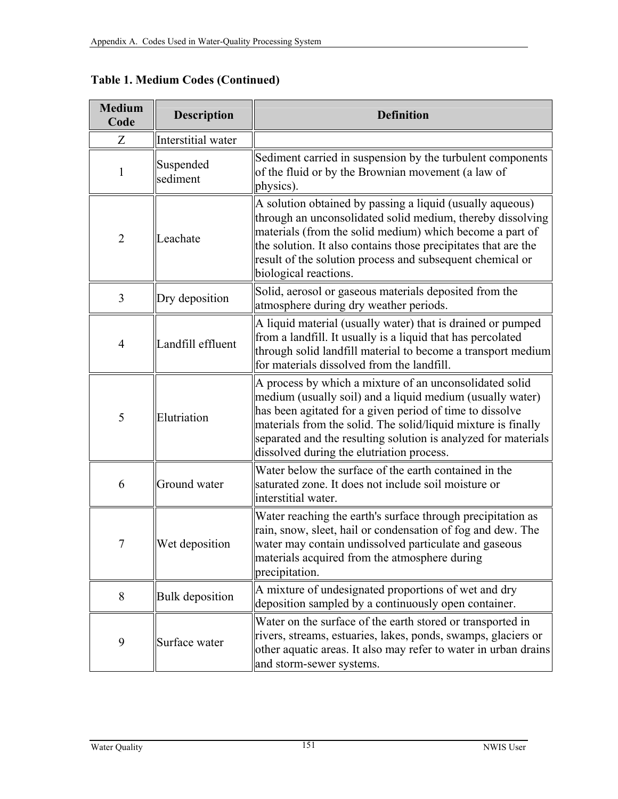| <b>Medium</b><br>Code | <b>Description</b>     | <b>Definition</b>                                                                                                                                                                                                                                                                                                                                                |
|-----------------------|------------------------|------------------------------------------------------------------------------------------------------------------------------------------------------------------------------------------------------------------------------------------------------------------------------------------------------------------------------------------------------------------|
| Z                     | Interstitial water     |                                                                                                                                                                                                                                                                                                                                                                  |
| 1                     | Suspended<br>sediment  | Sediment carried in suspension by the turbulent components<br>of the fluid or by the Brownian movement (a law of<br>physics).                                                                                                                                                                                                                                    |
| $\overline{2}$        | Leachate               | A solution obtained by passing a liquid (usually aqueous)<br>through an unconsolidated solid medium, thereby dissolving<br>materials (from the solid medium) which become a part of<br>the solution. It also contains those precipitates that are the<br>result of the solution process and subsequent chemical or<br>biological reactions.                      |
| 3                     | Dry deposition         | Solid, aerosol or gaseous materials deposited from the<br>atmosphere during dry weather periods.                                                                                                                                                                                                                                                                 |
| $\overline{4}$        | Landfill effluent      | A liquid material (usually water) that is drained or pumped<br>from a landfill. It usually is a liquid that has percolated<br>through solid landfill material to become a transport medium<br>for materials dissolved from the landfill.                                                                                                                         |
| 5                     | Elutriation            | A process by which a mixture of an unconsolidated solid<br>medium (usually soil) and a liquid medium (usually water)<br>has been agitated for a given period of time to dissolve<br>materials from the solid. The solid/liquid mixture is finally<br>separated and the resulting solution is analyzed for materials<br>dissolved during the elutriation process. |
| 6                     | Ground water           | Water below the surface of the earth contained in the<br>saturated zone. It does not include soil moisture or<br>interstitial water.                                                                                                                                                                                                                             |
| $\overline{7}$        | Wet deposition         | Water reaching the earth's surface through precipitation as<br>rain, snow, sleet, hail or condensation of fog and dew. The<br>water may contain undissolved particulate and gaseous<br>materials acquired from the atmosphere during<br>precipitation.                                                                                                           |
| 8                     | <b>Bulk</b> deposition | A mixture of undesignated proportions of wet and dry<br>deposition sampled by a continuously open container.                                                                                                                                                                                                                                                     |
| 9                     | Surface water          | Water on the surface of the earth stored or transported in<br>rivers, streams, estuaries, lakes, ponds, swamps, glaciers or<br>other aquatic areas. It also may refer to water in urban drains<br>and storm-sewer systems.                                                                                                                                       |

**Table 1. Medium Codes (Continued)**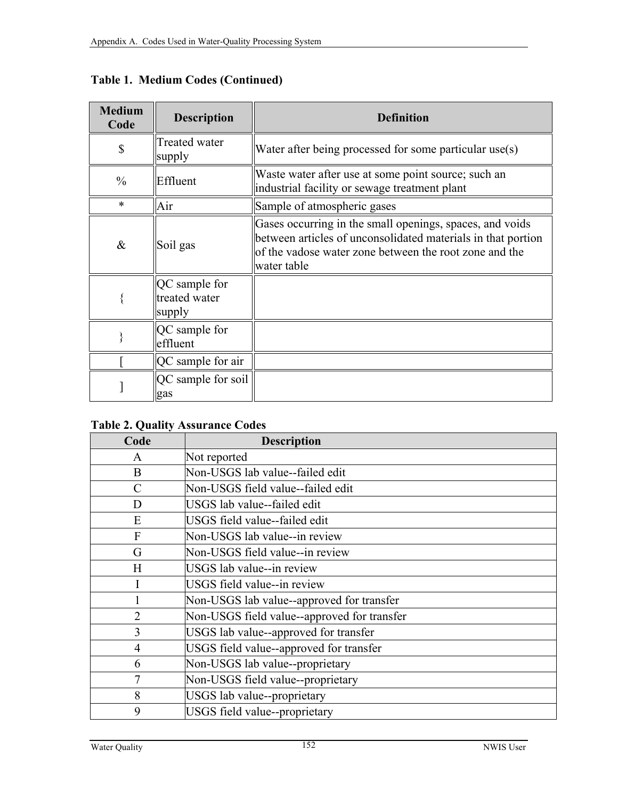| <b>Medium</b><br>Code | <b>Description</b>                       | <b>Definition</b>                                                                                                                                                                                 |
|-----------------------|------------------------------------------|---------------------------------------------------------------------------------------------------------------------------------------------------------------------------------------------------|
| \$                    | Treated water<br>supply                  | Water after being processed for some particular use(s)                                                                                                                                            |
| $\frac{0}{0}$         | Effluent                                 | Waste water after use at some point source; such an<br>industrial facility or sewage treatment plant                                                                                              |
| $\ast$                | Air                                      | Sample of atmospheric gases                                                                                                                                                                       |
| $\&$                  | Soil gas                                 | Gases occurring in the small openings, spaces, and voids<br>between articles of unconsolidated materials in that portion<br>of the vadose water zone between the root zone and the<br>water table |
|                       | QC sample for<br>treated water<br>supply |                                                                                                                                                                                                   |
|                       | QC sample for<br>effluent                |                                                                                                                                                                                                   |
|                       | QC sample for air                        |                                                                                                                                                                                                   |
|                       | QC sample for soil<br>gas                |                                                                                                                                                                                                   |

**Table 1. Medium Codes (Continued)** 

## **Table 2. Quality Assurance Codes**

| Code           | <b>Description</b>                          |
|----------------|---------------------------------------------|
| A              | Not reported                                |
| B              | Non-USGS lab value--failed edit             |
| C              | Non-USGS field value--failed edit           |
| D              | USGS lab value-failed edit                  |
| E              | USGS field value--failed edit               |
| F              | Non-USGS lab value--in review               |
| G              | Non-USGS field value--in review             |
| H              | USGS lab value--in review                   |
|                | USGS field value--in review                 |
|                | Non-USGS lab value--approved for transfer   |
| $\overline{2}$ | Non-USGS field value--approved for transfer |
| $\overline{3}$ | USGS lab value--approved for transfer       |
| 4              | USGS field value--approved for transfer     |
| 6              | Non-USGS lab value--proprietary             |
| 7              | Non-USGS field value--proprietary           |
| 8              | USGS lab value--proprietary                 |
| 9              | USGS field value--proprietary               |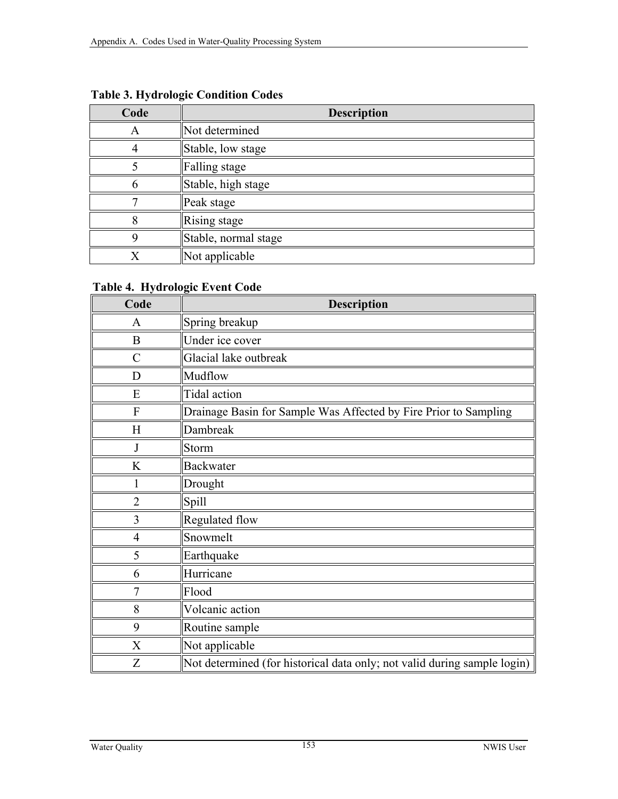| Code | <b>Description</b>   |
|------|----------------------|
| A    | Not determined       |
|      | Stable, low stage    |
|      | Falling stage        |
|      | Stable, high stage   |
|      | Peak stage           |
|      | Rising stage         |
|      | Stable, normal stage |
|      | Not applicable       |

**Table 3. Hydrologic Condition Codes** 

## **Table 4. Hydrologic Event Code**

| Code           | <b>Description</b>                                                       |
|----------------|--------------------------------------------------------------------------|
| A              | Spring breakup                                                           |
| B              | Under ice cover                                                          |
| $\overline{C}$ | Glacial lake outbreak                                                    |
| D              | Mudflow                                                                  |
| E              | Tidal action                                                             |
| F              | Drainage Basin for Sample Was Affected by Fire Prior to Sampling         |
| H              | Dambreak                                                                 |
| J              | Storm                                                                    |
| K              | <b>Backwater</b>                                                         |
| 1              | Drought                                                                  |
| $\overline{2}$ | Spill                                                                    |
| 3              | Regulated flow                                                           |
| $\overline{4}$ | Snowmelt                                                                 |
| 5              | Earthquake                                                               |
| 6              | Hurricane                                                                |
| 7              | Flood                                                                    |
| 8              | Volcanic action                                                          |
| 9              | Routine sample                                                           |
| X              | Not applicable                                                           |
| Z              | Not determined (for historical data only; not valid during sample login) |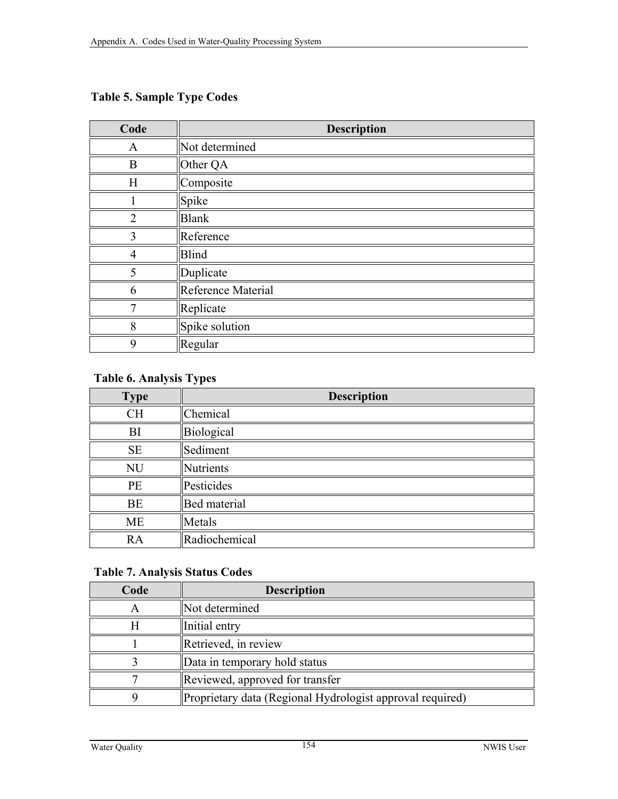# **Table 5. Sample Type Codes**

| Code           | <b>Description</b> |
|----------------|--------------------|
| A              | Not determined     |
| $\bf{B}$       | Other QA           |
| H              | Composite          |
|                | Spike              |
| $\overline{2}$ | <b>Blank</b>       |
| 3              | Reference          |
| 4              | <b>Blind</b>       |
| 5              | Duplicate          |
| 6              | Reference Material |
| 7              | Replicate          |
| 8              | Spike solution     |
| 9              | Regular            |

#### **Table 6. Analysis Types**

| <b>Type</b> | <b>Description</b>  |
|-------------|---------------------|
| <b>CH</b>   | Chemical            |
| BI          | Biological          |
| <b>SE</b>   | Sediment            |
| <b>NU</b>   | <b>Nutrients</b>    |
| PE          | Pesticides          |
| <b>BE</b>   | <b>Bed</b> material |
| <b>ME</b>   | Metals              |
| RA          | Radiochemical       |

#### **Table 7. Analysis Status Codes**

| Code | <b>Description</b>                                        |
|------|-----------------------------------------------------------|
|      | Not determined                                            |
|      | Initial entry                                             |
|      | Retrieved, in review                                      |
|      | Data in temporary hold status                             |
|      | Reviewed, approved for transfer                           |
|      | Proprietary data (Regional Hydrologist approval required) |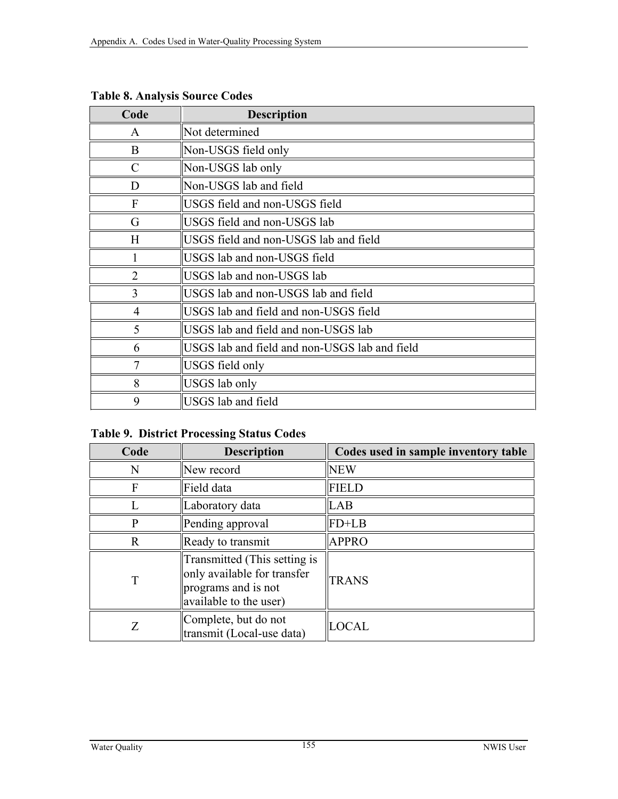| Code           | <b>Description</b>                            |
|----------------|-----------------------------------------------|
| $\mathbf{A}$   | Not determined                                |
| B              | Non-USGS field only                           |
| $\mathcal{C}$  | Non-USGS lab only                             |
| D              | Non-USGS lab and field                        |
| $\mathbf{F}$   | USGS field and non-USGS field                 |
| G              | USGS field and non-USGS lab                   |
| H              | USGS field and non-USGS lab and field         |
|                | USGS lab and non-USGS field                   |
| $\overline{2}$ | USGS lab and non-USGS lab                     |
| 3              | USGS lab and non-USGS lab and field           |
| $\overline{4}$ | USGS lab and field and non-USGS field         |
| 5              | USGS lab and field and non-USGS lab           |
| 6              | USGS lab and field and non-USGS lab and field |
| $\tau$         | USGS field only                               |
| 8              | USGS lab only                                 |
| 9              | USGS lab and field                            |

**Table 8. Analysis Source Codes** 

## **Table 9. District Processing Status Codes**

| Code                   | <b>Description</b>                                                                                           | Codes used in sample inventory table |  |
|------------------------|--------------------------------------------------------------------------------------------------------------|--------------------------------------|--|
| N                      | New record                                                                                                   | <b>NEW</b>                           |  |
| F                      | Field data                                                                                                   | <b>FIELD</b>                         |  |
| Laboratory data        |                                                                                                              | LAB                                  |  |
| P<br>Pending approval  |                                                                                                              | $FD+LB$                              |  |
| R<br>Ready to transmit |                                                                                                              | <b>APPRO</b>                         |  |
| T                      | Transmitted (This setting is<br>only available for transfer<br>programs and is not<br>available to the user) | <b>TRANS</b>                         |  |
| Ζ                      | Complete, but do not<br>transmit (Local-use data)                                                            | <b>LOCAL</b>                         |  |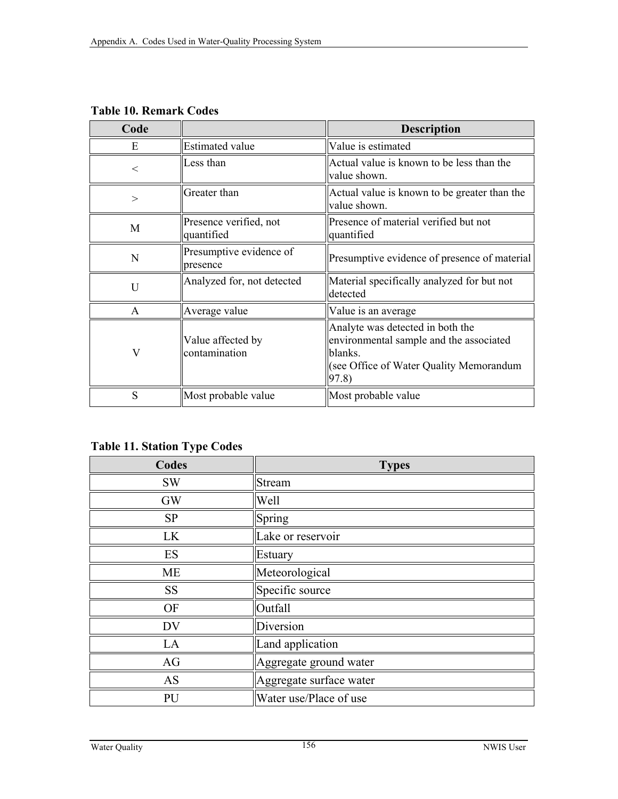| Code  |                                      | <b>Description</b>                                                                                                                         |
|-------|--------------------------------------|--------------------------------------------------------------------------------------------------------------------------------------------|
| E     | <b>Estimated value</b>               | Value is estimated                                                                                                                         |
| $\lt$ | Less than                            | Actual value is known to be less than the<br>value shown.                                                                                  |
| >     | Greater than                         | Actual value is known to be greater than the<br>value shown.                                                                               |
| M     | Presence verified, not<br>quantified | Presence of material verified but not<br>quantified                                                                                        |
| N     | Presumptive evidence of<br>presence  | Presumptive evidence of presence of material                                                                                               |
| U     | Analyzed for, not detected           | Material specifically analyzed for but not<br>detected                                                                                     |
| A     | Average value                        | Value is an average                                                                                                                        |
| V     | Value affected by<br>contamination   | Analyte was detected in both the<br>environmental sample and the associated<br>blanks.<br>(see Office of Water Quality Memorandum<br>97.8) |
| S     | Most probable value                  | Most probable value                                                                                                                        |

**Table 10. Remark Codes** 

**Table 11. Station Type Codes** 

| Codes     | <b>Types</b>            |
|-----------|-------------------------|
| <b>SW</b> | Stream                  |
| <b>GW</b> | Well                    |
| <b>SP</b> | Spring                  |
| LK        | Lake or reservoir       |
| ES        | Estuary                 |
| ME        | Meteorological          |
| <b>SS</b> | Specific source         |
| <b>OF</b> | Outfall                 |
| <b>DV</b> | Diversion               |
| LA        | Land application        |
| AG        | Aggregate ground water  |
| <b>AS</b> | Aggregate surface water |
| PU        | Water use/Place of use  |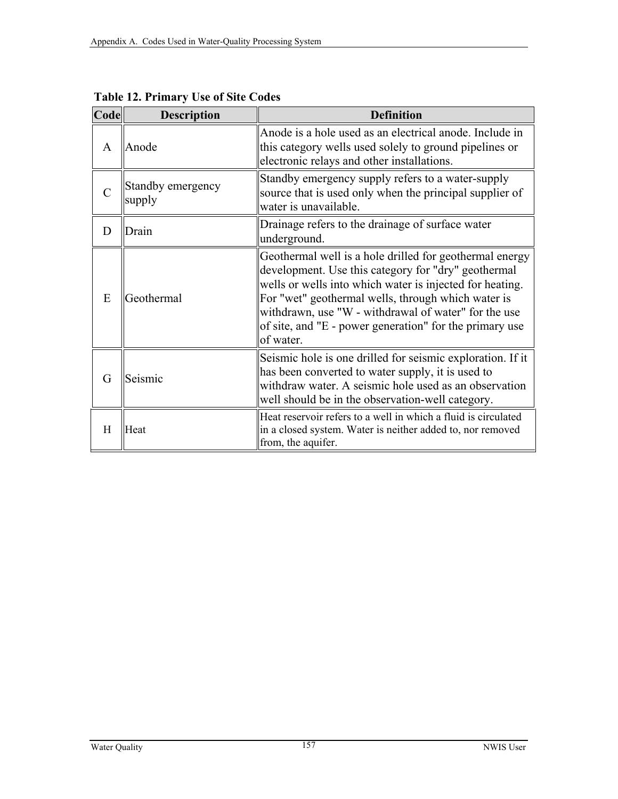| Code | <b>Description</b>          | <b>Definition</b>                                                                                                                                                                                                                                                                                                                                                |
|------|-----------------------------|------------------------------------------------------------------------------------------------------------------------------------------------------------------------------------------------------------------------------------------------------------------------------------------------------------------------------------------------------------------|
| A    | Anode                       | Anode is a hole used as an electrical anode. Include in<br>this category wells used solely to ground pipelines or<br>electronic relays and other installations.                                                                                                                                                                                                  |
|      | Standby emergency<br>supply | Standby emergency supply refers to a water-supply<br>source that is used only when the principal supplier of<br>water is unavailable.                                                                                                                                                                                                                            |
| D    | Drain                       | Drainage refers to the drainage of surface water<br>underground.                                                                                                                                                                                                                                                                                                 |
| E    | Geothermal                  | Geothermal well is a hole drilled for geothermal energy<br>development. Use this category for "dry" geothermal<br>wells or wells into which water is injected for heating.<br>For "wet" geothermal wells, through which water is<br>withdrawn, use "W - withdrawal of water" for the use<br>of site, and "E - power generation" for the primary use<br>of water. |
| G    | Seismic                     | Seismic hole is one drilled for seismic exploration. If it<br>has been converted to water supply, it is used to<br>withdraw water. A seismic hole used as an observation<br>well should be in the observation-well category.                                                                                                                                     |
| H    | Heat                        | Heat reservoir refers to a well in which a fluid is circulated<br>in a closed system. Water is neither added to, nor removed<br>from, the aquifer.                                                                                                                                                                                                               |

**Table 12. Primary Use of Site Codes**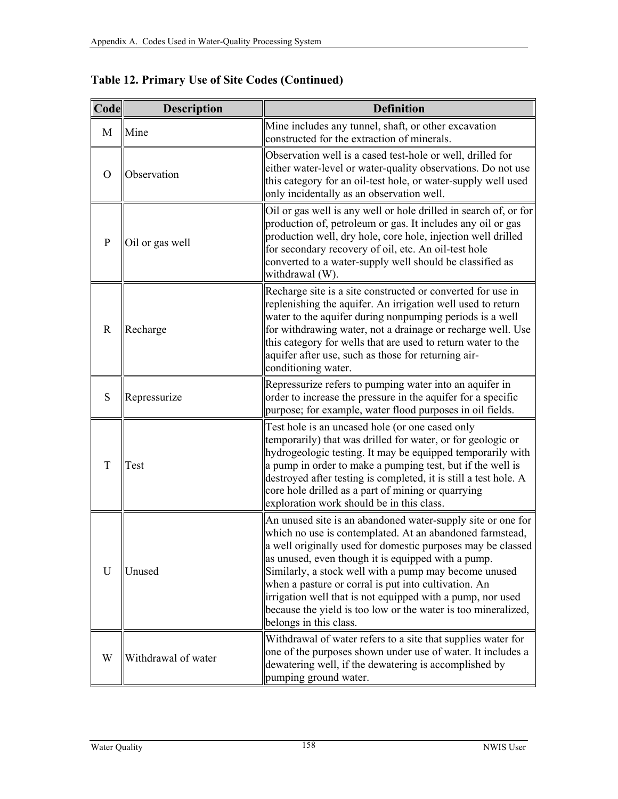| Code         | <b>Description</b>  | <b>Definition</b>                                                                                                                                                                                                                                                                                                                                                                                                                                                                                                      |
|--------------|---------------------|------------------------------------------------------------------------------------------------------------------------------------------------------------------------------------------------------------------------------------------------------------------------------------------------------------------------------------------------------------------------------------------------------------------------------------------------------------------------------------------------------------------------|
| M            | Mine                | Mine includes any tunnel, shaft, or other excavation<br>constructed for the extraction of minerals.                                                                                                                                                                                                                                                                                                                                                                                                                    |
| $\Omega$     | Observation         | Observation well is a cased test-hole or well, drilled for<br>either water-level or water-quality observations. Do not use<br>this category for an oil-test hole, or water-supply well used<br>only incidentally as an observation well.                                                                                                                                                                                                                                                                               |
| P            | Oil or gas well     | Oil or gas well is any well or hole drilled in search of, or for<br>production of, petroleum or gas. It includes any oil or gas<br>production well, dry hole, core hole, injection well drilled<br>for secondary recovery of oil, etc. An oil-test hole<br>converted to a water-supply well should be classified as<br>withdrawal (W).                                                                                                                                                                                 |
| R            | Recharge            | Recharge site is a site constructed or converted for use in<br>replenishing the aquifer. An irrigation well used to return<br>water to the aquifer during nonpumping periods is a well<br>for withdrawing water, not a drainage or recharge well. Use<br>this category for wells that are used to return water to the<br>aquifer after use, such as those for returning air-<br>conditioning water.                                                                                                                    |
| S            | Repressurize        | Repressurize refers to pumping water into an aquifer in<br>order to increase the pressure in the aquifer for a specific<br>purpose; for example, water flood purposes in oil fields.                                                                                                                                                                                                                                                                                                                                   |
| T            | Test                | Test hole is an uncased hole (or one cased only<br>temporarily) that was drilled for water, or for geologic or<br>hydrogeologic testing. It may be equipped temporarily with<br>a pump in order to make a pumping test, but if the well is<br>destroyed after testing is completed, it is still a test hole. A<br>core hole drilled as a part of mining or quarrying<br>exploration work should be in this class.                                                                                                      |
| $\mathbf{U}$ | Unused              | An unused site is an abandoned water-supply site or one for<br>which no use is contemplated. At an abandoned farmstead,<br>a well originally used for domestic purposes may be classed<br>as unused, even though it is equipped with a pump.<br>Similarly, a stock well with a pump may become unused<br>when a pasture or corral is put into cultivation. An<br>irrigation well that is not equipped with a pump, nor used<br>because the yield is too low or the water is too mineralized,<br>belongs in this class. |
| W            | Withdrawal of water | Withdrawal of water refers to a site that supplies water for<br>one of the purposes shown under use of water. It includes a<br>dewatering well, if the dewatering is accomplished by<br>pumping ground water.                                                                                                                                                                                                                                                                                                          |

**Table 12. Primary Use of Site Codes (Continued)**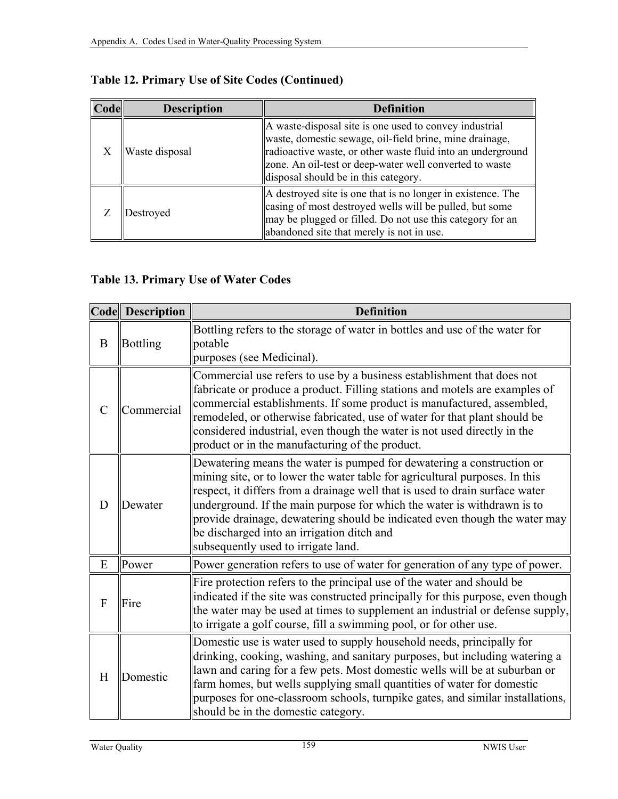| Code | <b>Description</b> | <b>Definition</b>                                                                                                                                                                                                                                                                   |
|------|--------------------|-------------------------------------------------------------------------------------------------------------------------------------------------------------------------------------------------------------------------------------------------------------------------------------|
|      | Waste disposal     | A waste-disposal site is one used to convey industrial<br>waste, domestic sewage, oil-field brine, mine drainage,<br>radioactive waste, or other waste fluid into an underground<br>zone. An oil-test or deep-water well converted to waste<br>disposal should be in this category. |
|      | Destroyed          | A destroyed site is one that is no longer in existence. The<br>casing of most destroyed wells will be pulled, but some<br>may be plugged or filled. Do not use this category for an<br>abandoned site that merely is not in use.                                                    |

# **Table 13. Primary Use of Water Codes**

|                | Code Description | <b>Definition</b>                                                                                                                                                                                                                                                                                                                                                                                                                                                                  |
|----------------|------------------|------------------------------------------------------------------------------------------------------------------------------------------------------------------------------------------------------------------------------------------------------------------------------------------------------------------------------------------------------------------------------------------------------------------------------------------------------------------------------------|
| $\bf{B}$       | <b>Bottling</b>  | Bottling refers to the storage of water in bottles and use of the water for<br>potable<br>purposes (see Medicinal).                                                                                                                                                                                                                                                                                                                                                                |
| $\overline{C}$ | Commercial       | Commercial use refers to use by a business establishment that does not<br>fabricate or produce a product. Filling stations and motels are examples of<br>commercial establishments. If some product is manufactured, assembled,<br>remodeled, or otherwise fabricated, use of water for that plant should be<br>considered industrial, even though the water is not used directly in the<br>product or in the manufacturing of the product.                                        |
| D              | Dewater          | Dewatering means the water is pumped for dewatering a construction or<br>mining site, or to lower the water table for agricultural purposes. In this<br>respect, it differs from a drainage well that is used to drain surface water<br>underground. If the main purpose for which the water is withdrawn is to<br>provide drainage, dewatering should be indicated even though the water may<br>be discharged into an irrigation ditch and<br>subsequently used to irrigate land. |
| E              | Power            | Power generation refers to use of water for generation of any type of power.                                                                                                                                                                                                                                                                                                                                                                                                       |
| F              | Fire             | Fire protection refers to the principal use of the water and should be<br>indicated if the site was constructed principally for this purpose, even though<br>the water may be used at times to supplement an industrial or defense supply,<br>to irrigate a golf course, fill a swimming pool, or for other use.                                                                                                                                                                   |
| H              | Domestic         | Domestic use is water used to supply household needs, principally for<br>drinking, cooking, washing, and sanitary purposes, but including watering a<br>lawn and caring for a few pets. Most domestic wells will be at suburban or<br>farm homes, but wells supplying small quantities of water for domestic<br>purposes for one-classroom schools, turnpike gates, and similar installations,<br>should be in the domestic category.                                              |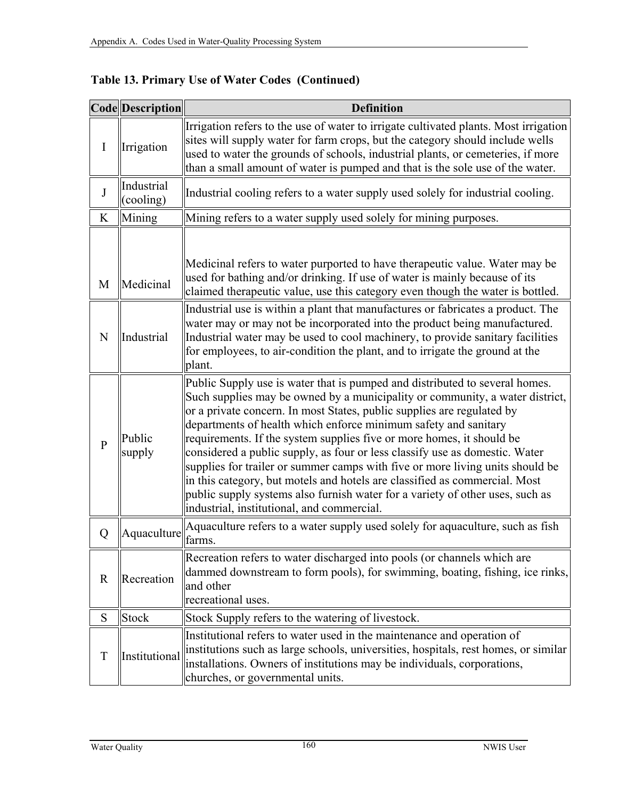|                | Code Description        | <b>Definition</b>                                                                                                                                                                                                                                                                                                                                                                                                                                                                                                                                                                                                                                                                                                                                              |  |
|----------------|-------------------------|----------------------------------------------------------------------------------------------------------------------------------------------------------------------------------------------------------------------------------------------------------------------------------------------------------------------------------------------------------------------------------------------------------------------------------------------------------------------------------------------------------------------------------------------------------------------------------------------------------------------------------------------------------------------------------------------------------------------------------------------------------------|--|
| $\mathbf I$    | Irrigation              | Irrigation refers to the use of water to irrigate cultivated plants. Most irrigation<br>sites will supply water for farm crops, but the category should include wells<br>used to water the grounds of schools, industrial plants, or cemeteries, if more<br>than a small amount of water is pumped and that is the sole use of the water.                                                                                                                                                                                                                                                                                                                                                                                                                      |  |
| $\mathbf J$    | Industrial<br>(cooling) | Industrial cooling refers to a water supply used solely for industrial cooling.                                                                                                                                                                                                                                                                                                                                                                                                                                                                                                                                                                                                                                                                                |  |
| K              | Mining                  | Mining refers to a water supply used solely for mining purposes.                                                                                                                                                                                                                                                                                                                                                                                                                                                                                                                                                                                                                                                                                               |  |
| M              | Medicinal               | Medicinal refers to water purported to have therapeutic value. Water may be<br>used for bathing and/or drinking. If use of water is mainly because of its<br>claimed therapeutic value, use this category even though the water is bottled.                                                                                                                                                                                                                                                                                                                                                                                                                                                                                                                    |  |
| N              | Industrial              | Industrial use is within a plant that manufactures or fabricates a product. The<br>water may or may not be incorporated into the product being manufactured.<br>Industrial water may be used to cool machinery, to provide sanitary facilities<br>for employees, to air-condition the plant, and to irrigate the ground at the<br>plant.                                                                                                                                                                                                                                                                                                                                                                                                                       |  |
| $\overline{P}$ | Public<br>supply        | Public Supply use is water that is pumped and distributed to several homes.<br>Such supplies may be owned by a municipality or community, a water district,<br>or a private concern. In most States, public supplies are regulated by<br>departments of health which enforce minimum safety and sanitary<br>requirements. If the system supplies five or more homes, it should be<br>considered a public supply, as four or less classify use as domestic. Water<br>supplies for trailer or summer camps with five or more living units should be<br>in this category, but motels and hotels are classified as commercial. Most<br>public supply systems also furnish water for a variety of other uses, such as<br>industrial, institutional, and commercial. |  |
| Q              | Aquaculture             | Aquaculture refers to a water supply used solely for aquaculture, such as fish<br>farms.                                                                                                                                                                                                                                                                                                                                                                                                                                                                                                                                                                                                                                                                       |  |
| $\mathbf R$    | Recreation              | Recreation refers to water discharged into pools (or channels which are<br>dammed downstream to form pools), for swimming, boating, fishing, ice rinks,<br>and other<br>recreational uses.                                                                                                                                                                                                                                                                                                                                                                                                                                                                                                                                                                     |  |
| S              | <b>Stock</b>            | Stock Supply refers to the watering of livestock.                                                                                                                                                                                                                                                                                                                                                                                                                                                                                                                                                                                                                                                                                                              |  |
| $\mathbf T$    | Institutional           | Institutional refers to water used in the maintenance and operation of<br>institutions such as large schools, universities, hospitals, rest homes, or similar<br>installations. Owners of institutions may be individuals, corporations,<br>churches, or governmental units.                                                                                                                                                                                                                                                                                                                                                                                                                                                                                   |  |

**Table 13. Primary Use of Water Codes (Continued)**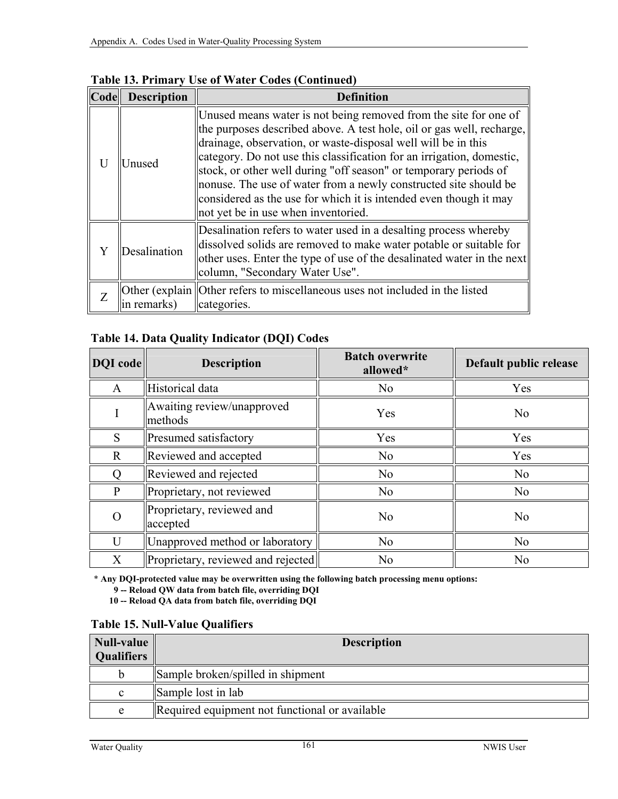| Code | <b>Description</b>                                                                                                                                                                                                                                                 | <b>Definition</b>                                                                                                                                                                                                                                                                                                                                                                                                                                                                                                                       |
|------|--------------------------------------------------------------------------------------------------------------------------------------------------------------------------------------------------------------------------------------------------------------------|-----------------------------------------------------------------------------------------------------------------------------------------------------------------------------------------------------------------------------------------------------------------------------------------------------------------------------------------------------------------------------------------------------------------------------------------------------------------------------------------------------------------------------------------|
|      | Unused                                                                                                                                                                                                                                                             | Unused means water is not being removed from the site for one of<br>the purposes described above. A test hole, oil or gas well, recharge,<br>drainage, observation, or waste-disposal well will be in this<br>category. Do not use this classification for an irrigation, domestic,<br>stock, or other well during "off season" or temporary periods of<br>nonuse. The use of water from a newly constructed site should be<br>considered as the use for which it is intended even though it may<br>not yet be in use when inventoried. |
|      | Desalination refers to water used in a desalting process whereby<br>dissolved solids are removed to make water potable or suitable for<br>Desalination<br>other uses. Enter the type of use of the desalinated water in the next<br>column, "Secondary Water Use". |                                                                                                                                                                                                                                                                                                                                                                                                                                                                                                                                         |
|      | in remarks                                                                                                                                                                                                                                                         | Other (explain Other refers to miscellaneous uses not included in the listed<br>categories.                                                                                                                                                                                                                                                                                                                                                                                                                                             |

**Table 13. Primary Use of Water Codes (Continued)**

## **Table 14. Data Quality Indicator (DQI) Codes**

| <b>DQI</b> code | <b>Description</b>                    | <b>Batch overwrite</b><br>allowed* | Default public release |
|-----------------|---------------------------------------|------------------------------------|------------------------|
| $\mathbf{A}$    | Historical data                       | N <sub>o</sub>                     | Yes                    |
|                 | Awaiting review/unapproved<br>methods | Yes                                | N <sub>o</sub>         |
| S               | <b>Presumed satisfactory</b>          | Yes                                | Yes                    |
| $\mathbf R$     | Reviewed and accepted                 | N <sub>0</sub>                     | Yes                    |
|                 | Reviewed and rejected                 | N <sub>o</sub>                     | No                     |
| P               | Proprietary, not reviewed             | N <sub>0</sub>                     | N <sub>0</sub>         |
| O               | Proprietary, reviewed and<br>accepted | N <sub>0</sub>                     | N <sub>o</sub>         |
| $\overline{U}$  | Unapproved method or laboratory       | N <sub>o</sub>                     | No                     |
| X               | Proprietary, reviewed and rejected    | N <sub>0</sub>                     | N <sub>o</sub>         |

\* **Any DQI-protected value may be overwritten using the following batch processing menu options:** 

 **9 -- Reload QW data from batch file, overriding DQI** 

 **10 -- Reload QA data from batch file, overriding DQI** 

#### **Table 15. Null-Value Qualifiers**

| <b>Null-value</b><br><b>Qualifiers</b> | <b>Description</b>                             |
|----------------------------------------|------------------------------------------------|
|                                        | Sample broken/spilled in shipment              |
| c                                      | Sample lost in lab                             |
| e                                      | Required equipment not functional or available |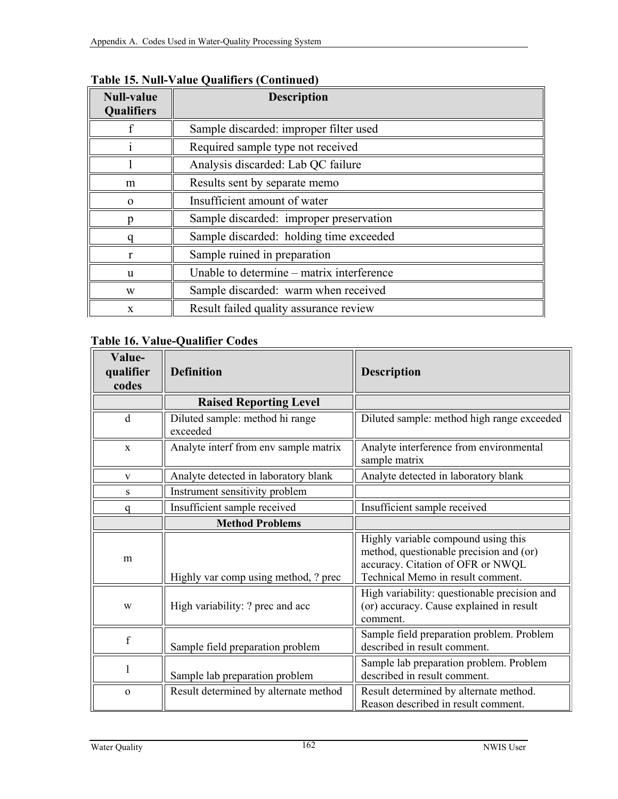| <b>Null-value</b><br><b>Qualifiers</b> | <b>Description</b>                        |  |  |  |  |
|----------------------------------------|-------------------------------------------|--|--|--|--|
|                                        | Sample discarded: improper filter used    |  |  |  |  |
|                                        | Required sample type not received         |  |  |  |  |
|                                        | Analysis discarded: Lab QC failure        |  |  |  |  |
| m                                      | Results sent by separate memo             |  |  |  |  |
| $\Omega$                               | Insufficient amount of water              |  |  |  |  |
|                                        | Sample discarded: improper preservation   |  |  |  |  |
|                                        | Sample discarded: holding time exceeded   |  |  |  |  |
|                                        | Sample ruined in preparation              |  |  |  |  |
| u                                      | Unable to determine – matrix interference |  |  |  |  |
| W                                      | Sample discarded: warm when received      |  |  |  |  |
| $\mathbf{x}$                           | Result failed quality assurance review    |  |  |  |  |

**Table 15. Null-Value Qualifiers (Continued)**

# **Table 16. Value-Qualifier Codes**

| Value-<br>qualifier<br>codes | <b>Definition</b>                           | <b>Description</b>                                                                                                                                       |
|------------------------------|---------------------------------------------|----------------------------------------------------------------------------------------------------------------------------------------------------------|
|                              | <b>Raised Reporting Level</b>               |                                                                                                                                                          |
| $\mathbf d$                  | Diluted sample: method hi range<br>exceeded | Diluted sample: method high range exceeded                                                                                                               |
| $\mathbf{x}$                 | Analyte interf from env sample matrix       | Analyte interference from environmental<br>sample matrix                                                                                                 |
| V                            | Analyte detected in laboratory blank        | Analyte detected in laboratory blank                                                                                                                     |
| S                            | Instrument sensitivity problem              |                                                                                                                                                          |
| a                            | Insufficient sample received                | Insufficient sample received                                                                                                                             |
|                              | <b>Method Problems</b>                      |                                                                                                                                                          |
| m                            | Highly var comp using method, ? prec        | Highly variable compound using this<br>method, questionable precision and (or)<br>accuracy. Citation of OFR or NWQL<br>Technical Memo in result comment. |
| W                            | High variability: ? prec and acc            | High variability: questionable precision and<br>(or) accuracy. Cause explained in result<br>comment.                                                     |
| f                            | Sample field preparation problem            | Sample field preparation problem. Problem<br>described in result comment.                                                                                |
|                              | Sample lab preparation problem              | Sample lab preparation problem. Problem<br>described in result comment.                                                                                  |
| $\mathbf{o}$                 | Result determined by alternate method       | Result determined by alternate method.<br>Reason described in result comment.                                                                            |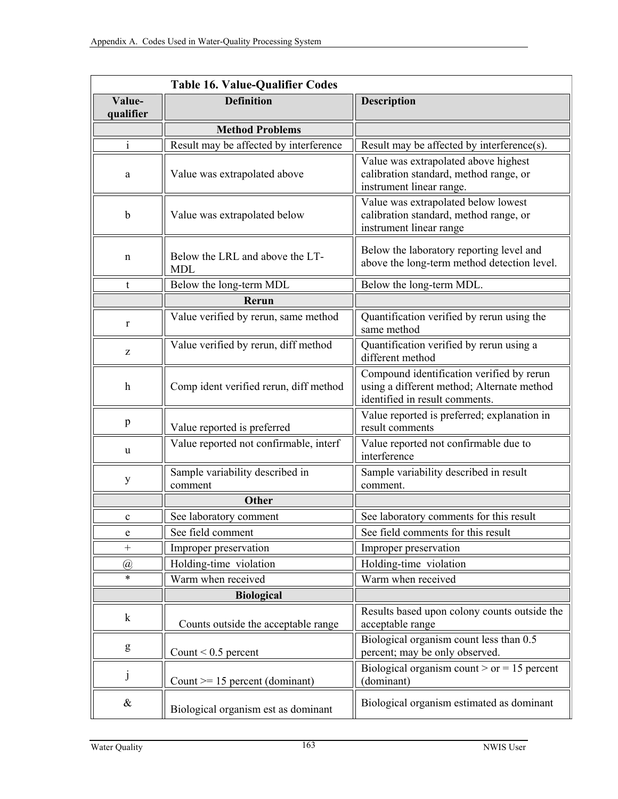|                     | <b>Table 16. Value-Qualifier Codes</b>     |                                                                                                                           |
|---------------------|--------------------------------------------|---------------------------------------------------------------------------------------------------------------------------|
| Value-<br>qualifier | <b>Definition</b>                          | <b>Description</b>                                                                                                        |
|                     | <b>Method Problems</b>                     |                                                                                                                           |
| i.                  | Result may be affected by interference     | Result may be affected by interference(s).                                                                                |
| $\rm{a}$            | Value was extrapolated above               | Value was extrapolated above highest<br>calibration standard, method range, or<br>instrument linear range.                |
| $\mathbf b$         | Value was extrapolated below               | Value was extrapolated below lowest<br>calibration standard, method range, or<br>instrument linear range                  |
| n                   | Below the LRL and above the LT-<br>MDL     | Below the laboratory reporting level and<br>above the long-term method detection level.                                   |
| t                   | Below the long-term MDL                    | Below the long-term MDL.                                                                                                  |
|                     | Rerun                                      |                                                                                                                           |
| r                   | Value verified by rerun, same method       | Quantification verified by rerun using the<br>same method                                                                 |
| Z                   | Value verified by rerun, diff method       | Quantification verified by rerun using a<br>different method                                                              |
| h                   | Comp ident verified rerun, diff method     | Compound identification verified by rerun<br>using a different method; Alternate method<br>identified in result comments. |
| p                   | Value reported is preferred                | Value reported is preferred; explanation in<br>result comments                                                            |
| u                   | Value reported not confirmable, interf     | Value reported not confirmable due to<br>interference                                                                     |
| y                   | Sample variability described in<br>comment | Sample variability described in result<br>comment.                                                                        |
|                     | <b>Other</b>                               |                                                                                                                           |
| $\mathbf c$         | See laboratory comment                     | See laboratory comments for this result                                                                                   |
| e                   | See field comment                          | See field comments for this result                                                                                        |
| $^{+}$              | Improper preservation                      | Improper preservation                                                                                                     |
| $\overline{a}$      | Holding-time violation                     | Holding-time violation                                                                                                    |
| $\ast$              | Warm when received                         | Warm when received                                                                                                        |
|                     | <b>Biological</b>                          |                                                                                                                           |
| $\mathbf k$         | Counts outside the acceptable range        | Results based upon colony counts outside the<br>acceptable range                                                          |
| g                   | Count $< 0.5$ percent                      | Biological organism count less than 0.5<br>percent; may be only observed.                                                 |
| j                   | Count $>= 15$ percent (dominant)           | Biological organism count > or = 15 percent<br>(dominant)                                                                 |
| $\&$                | Biological organism est as dominant        | Biological organism estimated as dominant                                                                                 |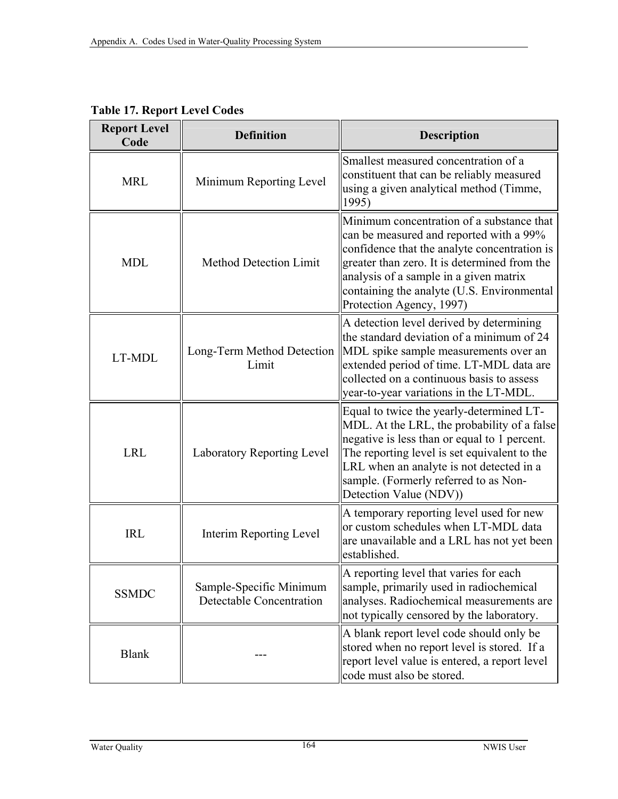| <b>Report Level</b><br>Code                                                | <b>Definition</b>                   | <b>Description</b>                                                                                                                                                                                                                                                                                       |
|----------------------------------------------------------------------------|-------------------------------------|----------------------------------------------------------------------------------------------------------------------------------------------------------------------------------------------------------------------------------------------------------------------------------------------------------|
| <b>MRL</b>                                                                 | Minimum Reporting Level             | Smallest measured concentration of a<br>constituent that can be reliably measured<br>using a given analytical method (Timme,<br>1995)                                                                                                                                                                    |
| <b>MDL</b>                                                                 | <b>Method Detection Limit</b>       | Minimum concentration of a substance that<br>can be measured and reported with a 99%<br>confidence that the analyte concentration is<br>greater than zero. It is determined from the<br>analysis of a sample in a given matrix<br>containing the analyte (U.S. Environmental<br>Protection Agency, 1997) |
| LT-MDL                                                                     | Long-Term Method Detection<br>Limit | A detection level derived by determining<br>the standard deviation of a minimum of 24<br>MDL spike sample measurements over an<br>extended period of time. LT-MDL data are<br>collected on a continuous basis to assess<br>year-to-year variations in the LT-MDL.                                        |
| <b>LRL</b>                                                                 | <b>Laboratory Reporting Level</b>   | Equal to twice the yearly-determined LT-<br>MDL. At the LRL, the probability of a false<br>negative is less than or equal to 1 percent.<br>The reporting level is set equivalent to the<br>LRL when an analyte is not detected in a<br>sample. (Formerly referred to as Non-<br>Detection Value (NDV))   |
| <b>IRL</b><br><b>Interim Reporting Level</b>                               |                                     | A temporary reporting level used for new<br>or custom schedules when LT-MDL data<br>are unavailable and a LRL has not yet been<br>established.                                                                                                                                                           |
| Sample-Specific Minimum<br><b>SSMDC</b><br><b>Detectable Concentration</b> |                                     | A reporting level that varies for each<br>sample, primarily used in radiochemical<br>analyses. Radiochemical measurements are<br>not typically censored by the laboratory.                                                                                                                               |
| <b>Blank</b>                                                               |                                     | A blank report level code should only be<br>stored when no report level is stored. If a<br>report level value is entered, a report level<br>code must also be stored.                                                                                                                                    |

**Table 17. Report Level Codes**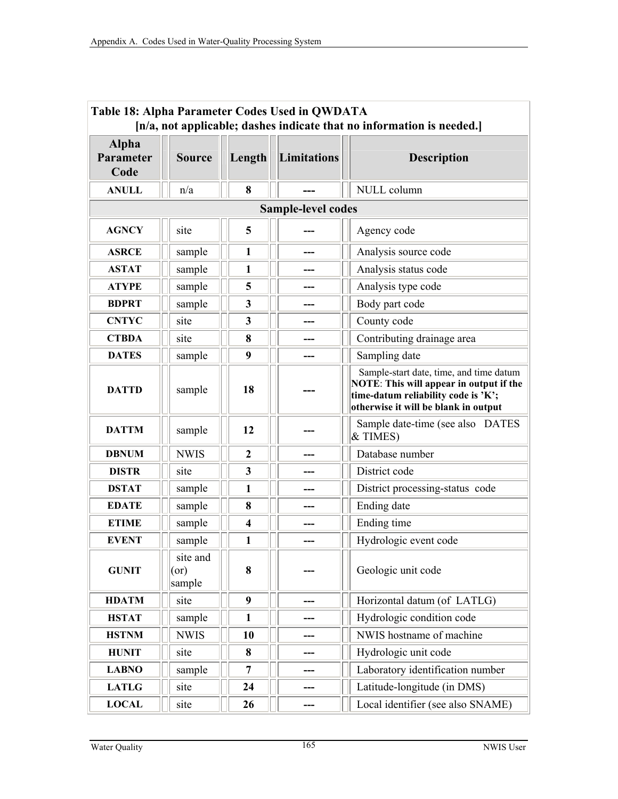| Table 18: Alpha Parameter Codes Used in QWDATA<br>[n/a, not applicable; dashes indicate that no information is needed.] |                                                     |                |             |                                                                                                                                                                   |  |  |  |  |
|-------------------------------------------------------------------------------------------------------------------------|-----------------------------------------------------|----------------|-------------|-------------------------------------------------------------------------------------------------------------------------------------------------------------------|--|--|--|--|
| <b>Alpha</b><br>Parameter<br>Code                                                                                       | <b>Source</b>                                       | Length         | Limitations | <b>Description</b>                                                                                                                                                |  |  |  |  |
| <b>ANULL</b>                                                                                                            | n/a                                                 | 8              |             | NULL column                                                                                                                                                       |  |  |  |  |
| <b>Sample-level codes</b>                                                                                               |                                                     |                |             |                                                                                                                                                                   |  |  |  |  |
| <b>AGNCY</b>                                                                                                            | site                                                | 5              |             | Agency code                                                                                                                                                       |  |  |  |  |
| <b>ASRCE</b>                                                                                                            | sample                                              | 1              |             | Analysis source code                                                                                                                                              |  |  |  |  |
| <b>ASTAT</b>                                                                                                            | sample                                              | 1              |             | Analysis status code                                                                                                                                              |  |  |  |  |
| <b>ATYPE</b>                                                                                                            | sample                                              | 5              | ---         | Analysis type code                                                                                                                                                |  |  |  |  |
| <b>BDPRT</b>                                                                                                            | sample                                              | $\mathbf{3}$   |             | Body part code                                                                                                                                                    |  |  |  |  |
| <b>CNTYC</b>                                                                                                            | site                                                | $\mathbf{3}$   |             | County code                                                                                                                                                       |  |  |  |  |
| <b>CTBDA</b>                                                                                                            | site                                                | 8              |             | Contributing drainage area                                                                                                                                        |  |  |  |  |
| <b>DATES</b>                                                                                                            | sample                                              | 9              |             | Sampling date                                                                                                                                                     |  |  |  |  |
| <b>DATTD</b>                                                                                                            | sample                                              | 18             |             | Sample-start date, time, and time datum<br>NOTE: This will appear in output if the<br>time-datum reliability code is 'K';<br>otherwise it will be blank in output |  |  |  |  |
| <b>DATTM</b>                                                                                                            | sample                                              | 12             |             | Sample date-time (see also DATES<br>& TIMES)                                                                                                                      |  |  |  |  |
| <b>DBNUM</b>                                                                                                            | <b>NWIS</b>                                         | $\overline{2}$ |             | Database number                                                                                                                                                   |  |  |  |  |
| <b>DISTR</b>                                                                                                            | site                                                | 3              |             | District code                                                                                                                                                     |  |  |  |  |
| <b>DSTAT</b>                                                                                                            | sample                                              | $\mathbf{1}$   |             | District processing-status code                                                                                                                                   |  |  |  |  |
| <b>EDATE</b>                                                                                                            | sample                                              | 8              |             | Ending date                                                                                                                                                       |  |  |  |  |
| <b>ETIME</b>                                                                                                            | sample                                              | 4              |             | Ending time                                                                                                                                                       |  |  |  |  |
| <b>EVENT</b>                                                                                                            | sample                                              | $\mathbf{1}$   |             | Hydrologic event code                                                                                                                                             |  |  |  |  |
| <b>GUNIT</b>                                                                                                            | site and $\boxed{\left  \right }$<br>(or)<br>sample | 8              | ПI          | Geologic unit code                                                                                                                                                |  |  |  |  |
| <b>HDATM</b>                                                                                                            | site                                                | 9              |             | Horizontal datum (of LATLG)                                                                                                                                       |  |  |  |  |
| <b>HSTAT</b>                                                                                                            | sample                                              | $\mathbf{1}$   |             | Hydrologic condition code                                                                                                                                         |  |  |  |  |
| <b>HSTNM</b>                                                                                                            | <b>NWIS</b>                                         | 10             |             | NWIS hostname of machine                                                                                                                                          |  |  |  |  |
| <b>HUNIT</b>                                                                                                            | site                                                | 8              |             | Hydrologic unit code                                                                                                                                              |  |  |  |  |
| <b>LABNO</b>                                                                                                            | sample                                              | 7              |             | Laboratory identification number                                                                                                                                  |  |  |  |  |
| <b>LATLG</b>                                                                                                            | site                                                | 24             |             | Latitude-longitude (in DMS)                                                                                                                                       |  |  |  |  |
| <b>LOCAL</b>                                                                                                            | site                                                | 26             | ---         | Local identifier (see also SNAME)                                                                                                                                 |  |  |  |  |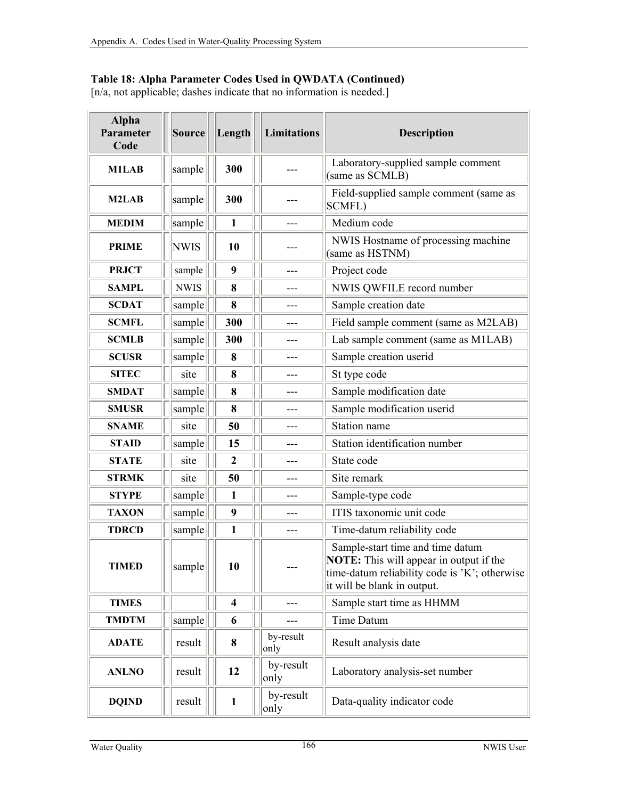#### **Table 18: Alpha Parameter Codes Used in QWDATA (Continued)**

[n/a, not applicable; dashes indicate that no information is needed.]

| <b>Alpha</b><br>Parameter<br>Code | Source      | Length                  |  | <b>Limitations</b> | <b>Description</b>                                                                                                                                                 |
|-----------------------------------|-------------|-------------------------|--|--------------------|--------------------------------------------------------------------------------------------------------------------------------------------------------------------|
| <b>M1LAB</b>                      | sample      | 300                     |  |                    | Laboratory-supplied sample comment<br>(same as SCMLB)                                                                                                              |
| M2LAB                             | sample      | 300                     |  |                    | Field-supplied sample comment (same as<br>SCMFL)                                                                                                                   |
| <b>MEDIM</b>                      | sample      | 1                       |  | ---                | Medium code                                                                                                                                                        |
| <b>PRIME</b>                      | <b>NWIS</b> | 10                      |  |                    | NWIS Hostname of processing machine<br>(same as HSTNM)                                                                                                             |
| <b>PRJCT</b>                      | sample      | 9                       |  | ---                | Project code                                                                                                                                                       |
| <b>SAMPL</b>                      | <b>NWIS</b> | 8                       |  |                    | NWIS QWFILE record number                                                                                                                                          |
| <b>SCDAT</b>                      | sample      | 8                       |  |                    | Sample creation date                                                                                                                                               |
| <b>SCMFL</b>                      | sample      | 300                     |  |                    | Field sample comment (same as M2LAB)                                                                                                                               |
| <b>SCMLB</b>                      | sample      | 300                     |  |                    | Lab sample comment (same as M1LAB)                                                                                                                                 |
| <b>SCUSR</b>                      | sample      | 8                       |  | ---                | Sample creation userid                                                                                                                                             |
| <b>SITEC</b>                      | site        | 8                       |  | ---                | St type code                                                                                                                                                       |
| <b>SMDAT</b>                      | sample      | 8                       |  | ---                | Sample modification date                                                                                                                                           |
| <b>SMUSR</b>                      | sample      | 8                       |  |                    | Sample modification userid                                                                                                                                         |
| <b>SNAME</b>                      | site        | 50                      |  |                    | Station name                                                                                                                                                       |
| <b>STAID</b>                      | sample      | 15                      |  |                    | Station identification number                                                                                                                                      |
| <b>STATE</b>                      | site        | $\mathbf{2}$            |  |                    | State code                                                                                                                                                         |
| <b>STRMK</b>                      | site        | 50                      |  | ---                | Site remark                                                                                                                                                        |
| <b>STYPE</b>                      | sample      | $\mathbf{1}$            |  | ---                | Sample-type code                                                                                                                                                   |
| <b>TAXON</b>                      | sample      | 9                       |  | ---                | ITIS taxonomic unit code                                                                                                                                           |
| <b>TDRCD</b>                      | sample      | 1                       |  |                    | Time-datum reliability code                                                                                                                                        |
| <b>TIMED</b>                      | sample      | 10                      |  | ---                | Sample-start time and time datum<br><b>NOTE:</b> This will appear in output if the<br>time-datum reliability code is 'K'; otherwise<br>it will be blank in output. |
| <b>TIMES</b>                      |             | $\overline{\mathbf{4}}$ |  |                    | Sample start time as HHMM                                                                                                                                          |
| <b>TMDTM</b>                      | sample      | 6                       |  |                    | <b>Time Datum</b>                                                                                                                                                  |
| <b>ADATE</b>                      | result      | 8                       |  | by-result<br>only  | Result analysis date                                                                                                                                               |
| <b>ANLNO</b>                      | result      | 12                      |  | by-result<br>only  | Laboratory analysis-set number                                                                                                                                     |
| <b>DQIND</b>                      | result      | $\mathbf{1}$            |  | by-result<br>only  | Data-quality indicator code                                                                                                                                        |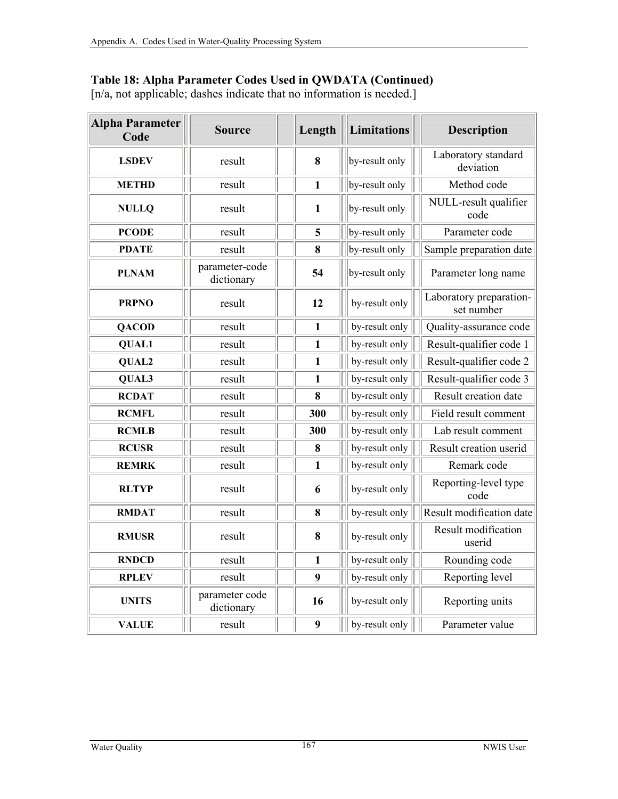#### **Table 18: Alpha Parameter Codes Used in QWDATA (Continued)**

[n/a, not applicable; dashes indicate that no information is needed.]

| <b>Alpha Parameter</b><br>Code | <b>Source</b>                |              | Length       |  | <b>Limitations</b> | <b>Description</b>                    |
|--------------------------------|------------------------------|--------------|--------------|--|--------------------|---------------------------------------|
| <b>LSDEV</b>                   | result                       |              | 8            |  | by-result only     | Laboratory standard<br>deviation      |
| <b>METHD</b>                   | result                       |              | $\mathbf{1}$ |  | by-result only     | Method code                           |
| <b>NULLQ</b>                   | result                       |              | $\mathbf{1}$ |  | by-result only     | NULL-result qualifier<br>code         |
| <b>PCODE</b>                   | result                       |              | 5            |  | by-result only     | Parameter code                        |
| <b>PDATE</b>                   | result                       |              | 8            |  | by-result only     | Sample preparation date               |
| <b>PLNAM</b>                   | parameter-code<br>dictionary |              | 54           |  | by-result only     | Parameter long name                   |
| <b>PRPNO</b>                   | result                       |              | 12           |  | by-result only     | Laboratory preparation-<br>set number |
| <b>QACOD</b>                   | result                       | $\mathbf{1}$ |              |  | by-result only     | Quality-assurance code                |
| <b>QUAL1</b>                   | result                       |              | 1            |  | by-result only     | Result-qualifier code 1               |
| QUAL2                          | result                       |              | $\mathbf{1}$ |  | by-result only     | Result-qualifier code 2               |
| QUAL3                          | result                       |              | 1            |  | by-result only     | Result-qualifier code 3               |
| <b>RCDAT</b>                   | result                       |              | 8            |  | by-result only     | Result creation date                  |
| <b>RCMFL</b>                   | result                       |              | 300          |  | by-result only     | Field result comment                  |
| <b>RCMLB</b>                   | result                       |              | 300          |  | by-result only     | Lab result comment                    |
| <b>RCUSR</b>                   | result                       |              | 8            |  | by-result only     | Result creation userid                |
| <b>REMRK</b>                   | result                       |              | $\mathbf{1}$ |  | by-result only     | Remark code                           |
| <b>RLTYP</b>                   | result                       |              | 6            |  | by-result only     | Reporting-level type<br>code          |
| <b>RMDAT</b>                   | result                       |              | 8            |  | by-result only     | Result modification date              |
| <b>RMUSR</b>                   | result                       |              | 8            |  | by-result only     | Result modification<br>userid         |
| <b>RNDCD</b>                   | result                       |              | $\mathbf{1}$ |  | by-result only     | Rounding code                         |
| <b>RPLEV</b>                   | result                       |              | 9            |  | by-result only     | Reporting level                       |
| <b>UNITS</b>                   | parameter code<br>dictionary |              | 16           |  | by-result only     | Reporting units                       |
| <b>VALUE</b>                   | result                       |              | 9            |  | by-result only     | Parameter value                       |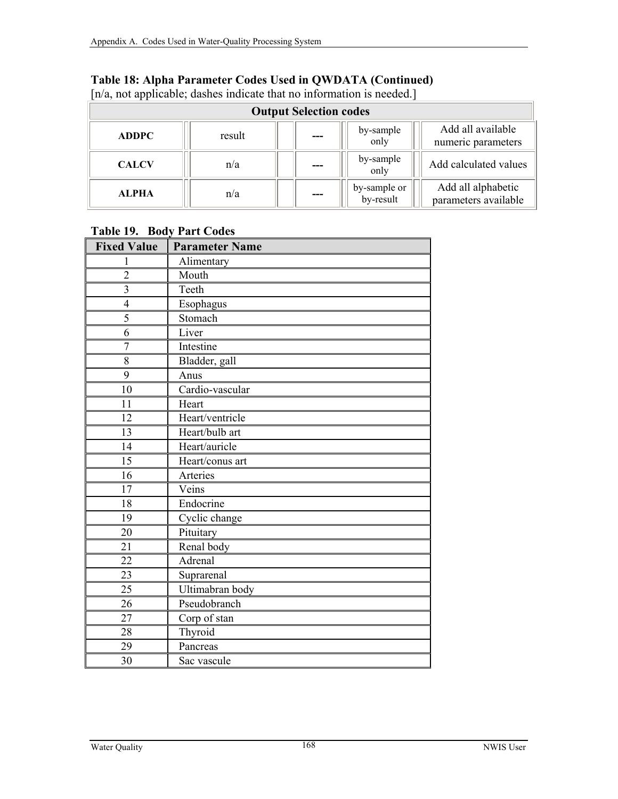| [n/a, not applicable; dashes indicate that no information is needed.] |        |     |                           |                                            |  |  |
|-----------------------------------------------------------------------|--------|-----|---------------------------|--------------------------------------------|--|--|
| <b>Output Selection codes</b>                                         |        |     |                           |                                            |  |  |
| <b>ADDPC</b>                                                          | result |     | by-sample<br>only         | Add all available<br>numeric parameters    |  |  |
| <b>CALCV</b>                                                          | n/a    |     | by-sample<br>only         | Add calculated values                      |  |  |
| <b>ALPHA</b>                                                          | n/a    | --- | by-sample or<br>by-result | Add all alphabetic<br>parameters available |  |  |

## **Table 18: Alpha Parameter Codes Used in QWDATA (Continued)**

#### **Table 19. Body Part Codes**

| <b>Fixed Value</b> | <b>Parameter Name</b> |  |  |  |
|--------------------|-----------------------|--|--|--|
| 1                  | Alimentary            |  |  |  |
| $\overline{2}$     | Mouth                 |  |  |  |
| $\overline{3}$     | Teeth                 |  |  |  |
| $\overline{4}$     | Esophagus             |  |  |  |
| $\overline{5}$     | Stomach               |  |  |  |
| 6                  | Liver                 |  |  |  |
| $\overline{7}$     | Intestine             |  |  |  |
| 8                  | Bladder, gall         |  |  |  |
| 9                  | Anus                  |  |  |  |
| 10                 | Cardio-vascular       |  |  |  |
| 11                 | Heart                 |  |  |  |
| 12                 | Heart/ventricle       |  |  |  |
| 13                 | Heart/bulb art        |  |  |  |
| 14                 | Heart/auricle         |  |  |  |
| $\overline{15}$    | Heart/conus art       |  |  |  |
| 16                 | Arteries              |  |  |  |
| 17                 | Veins                 |  |  |  |
| 18                 | Endocrine             |  |  |  |
| 19                 | Cyclic change         |  |  |  |
| 20                 | Pituitary             |  |  |  |
| 21                 | Renal body            |  |  |  |
| 22                 | Adrenal               |  |  |  |
| 23                 | Suprarenal            |  |  |  |
| 25                 | Ultimabran body       |  |  |  |
| 26                 | Pseudobranch          |  |  |  |
| 27                 | Corp of stan          |  |  |  |
| 28                 | Thyroid               |  |  |  |
| 29                 | Pancreas              |  |  |  |
| 30                 | Sac vascule           |  |  |  |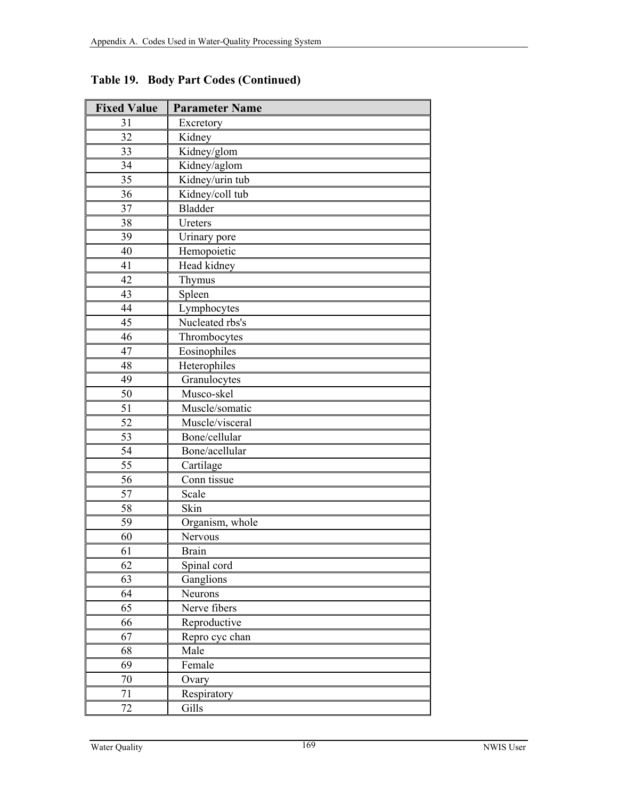| <b>Fixed Value</b> | <b>Parameter Name</b> |  |  |  |
|--------------------|-----------------------|--|--|--|
| 31                 | Excretory             |  |  |  |
| 32                 | Kidney                |  |  |  |
| 33                 | Kidney/glom           |  |  |  |
| 34                 | Kidney/aglom          |  |  |  |
| 35                 | Kidney/urin tub       |  |  |  |
| 36                 | Kidney/coll tub       |  |  |  |
| 37                 | <b>Bladder</b>        |  |  |  |
| 38                 | Ureters               |  |  |  |
| 39                 | Urinary pore          |  |  |  |
| 40                 | Hemopoietic           |  |  |  |
| 41                 | Head kidney           |  |  |  |
| 42                 | Thymus                |  |  |  |
| 43                 | Spleen                |  |  |  |
| 44                 | Lymphocytes           |  |  |  |
| 45                 | Nucleated rbs's       |  |  |  |
| 46                 | Thrombocytes          |  |  |  |
| 47                 | Eosinophiles          |  |  |  |
| 48                 | Heterophiles          |  |  |  |
| 49                 | Granulocytes          |  |  |  |
| 50                 | Musco-skel            |  |  |  |
| 51                 | Muscle/somatic        |  |  |  |
| 52                 | Muscle/visceral       |  |  |  |
| 53                 | Bone/cellular         |  |  |  |
| 54                 | Bone/acellular        |  |  |  |
| 55                 | Cartilage             |  |  |  |
| 56                 | Conn tissue           |  |  |  |
| $\overline{57}$    | Scale                 |  |  |  |
| 58                 | Skin                  |  |  |  |
| 59                 | Organism, whole       |  |  |  |
| 60                 | Nervous               |  |  |  |
| 61                 | <b>Brain</b>          |  |  |  |
| 62                 | Spinal cord           |  |  |  |
| 63                 | Ganglions             |  |  |  |
| 64                 | Neurons               |  |  |  |
| 65                 | Nerve fibers          |  |  |  |
| 66                 | Reproductive          |  |  |  |
| 67                 | Repro cyc chan        |  |  |  |
| 68                 | Male                  |  |  |  |
| 69                 | Female                |  |  |  |
| 70                 | Ovary                 |  |  |  |
| 71                 | Respiratory           |  |  |  |
| 72                 | Gills                 |  |  |  |

**Table 19. Body Part Codes (Continued)**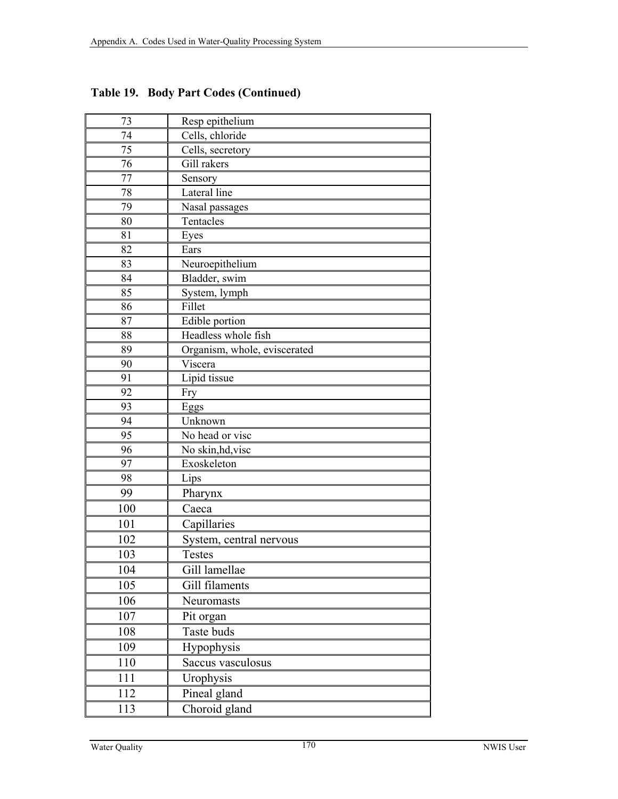| 73  | Resp epithelium              |
|-----|------------------------------|
| 74  | Cells, chloride              |
| 75  | Cells, secretory             |
| 76  | Gill rakers                  |
| 77  | Sensory                      |
| 78  | Lateral line                 |
| 79  | Nasal passages               |
| 80  | Tentacles                    |
| 81  | Eyes                         |
| 82  | Ears                         |
| 83  | Neuroepithelium              |
| 84  | Bladder, swim                |
| 85  | System, lymph                |
| 86  | Fillet                       |
| 87  | Edible portion               |
| 88  | Headless whole fish          |
| 89  | Organism, whole, eviscerated |
| 90  | Viscera                      |
| 91  | Lipid tissue                 |
| 92  | Fry                          |
| 93  | Eggs                         |
| 94  | Unknown                      |
| 95  | No head or visc              |
| 96  | No skin, hd, visc            |
| 97  | Exoskeleton                  |
| 98  | Lips                         |
| 99  | Pharynx                      |
| 100 | Caeca                        |
| 101 | Capillaries                  |
| 102 | System, central nervous      |
| 103 | <b>Testes</b>                |
| 104 | Gill lamellae                |
| 105 | Gill filaments               |
| 106 | Neuromasts                   |
| 107 | Pit organ                    |
| 108 | Taste buds                   |
| 109 | Hypophysis                   |
| 110 | Saccus vasculosus            |
| 111 | Urophysis                    |
| 112 |                              |
|     | Pineal gland                 |
| 113 | Choroid gland                |

**Table 19. Body Part Codes (Continued)**